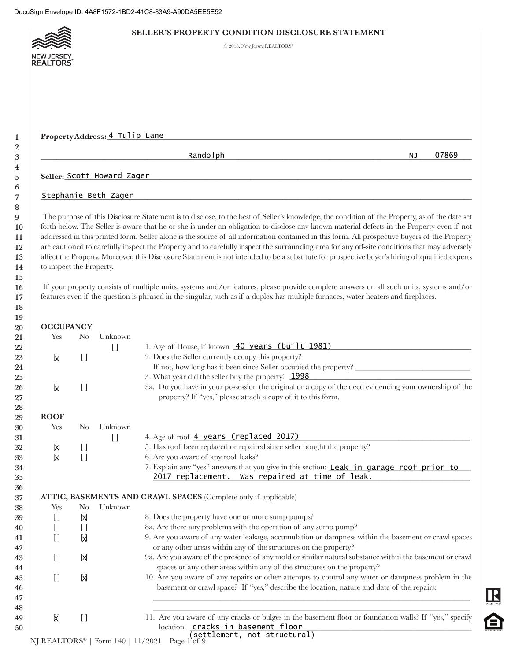| <b>REALTORS</b>                                   |                                        |                                        | © 2018, New Jersey REALTORS®                                                                                                                                                                                                                                                                                                                                                                                                                                                                                                                                                                                                                                                                                                     |    |       |
|---------------------------------------------------|----------------------------------------|----------------------------------------|----------------------------------------------------------------------------------------------------------------------------------------------------------------------------------------------------------------------------------------------------------------------------------------------------------------------------------------------------------------------------------------------------------------------------------------------------------------------------------------------------------------------------------------------------------------------------------------------------------------------------------------------------------------------------------------------------------------------------------|----|-------|
|                                                   |                                        | PropertyAddress: 4 Tulip Lane          |                                                                                                                                                                                                                                                                                                                                                                                                                                                                                                                                                                                                                                                                                                                                  |    |       |
|                                                   |                                        |                                        | Randolph<br>the control of the control of the control of the control of the control of                                                                                                                                                                                                                                                                                                                                                                                                                                                                                                                                                                                                                                           | ΝJ | 07869 |
|                                                   |                                        | Seller: Scott Howard Zager             | and the control of the control of the control of the control of the control of the control of the control of the                                                                                                                                                                                                                                                                                                                                                                                                                                                                                                                                                                                                                 |    |       |
|                                                   |                                        | Stephanie Beth Zager                   |                                                                                                                                                                                                                                                                                                                                                                                                                                                                                                                                                                                                                                                                                                                                  |    |       |
| to inspect the Property.                          |                                        |                                        | addressed in this printed form. Seller alone is the source of all information contained in this form. All prospective buyers of the Property<br>are cautioned to carefully inspect the Property and to carefully inspect the surrounding area for any off-site conditions that may adversely<br>affect the Property. Moreover, this Disclosure Statement is not intended to be a substitute for prospective buyer's hiring of qualified experts<br>If your property consists of multiple units, systems and/or features, please provide complete answers on all such units, systems and/or<br>features even if the question is phrased in the singular, such as if a duplex has multiple furnaces, water heaters and fireplaces. |    |       |
| <b>OCCUPANCY</b>                                  |                                        |                                        |                                                                                                                                                                                                                                                                                                                                                                                                                                                                                                                                                                                                                                                                                                                                  |    |       |
| Yes                                               | N <sub>0</sub>                         | Unknown                                |                                                                                                                                                                                                                                                                                                                                                                                                                                                                                                                                                                                                                                                                                                                                  |    |       |
| M                                                 | $[ \ ]$                                | $\begin{array}{c} \square \end{array}$ | 1. Age of House, if known 40 years (built 1981)<br>2. Does the Seller currently occupy this property?                                                                                                                                                                                                                                                                                                                                                                                                                                                                                                                                                                                                                            |    |       |
|                                                   |                                        |                                        |                                                                                                                                                                                                                                                                                                                                                                                                                                                                                                                                                                                                                                                                                                                                  |    |       |
| M                                                 |                                        |                                        | 3. What year did the seller buy the property? 1998<br>3a. Do you have in your possession the original or a copy of the deed evidencing your ownership of the                                                                                                                                                                                                                                                                                                                                                                                                                                                                                                                                                                     |    |       |
|                                                   |                                        |                                        | property? If "yes," please attach a copy of it to this form.                                                                                                                                                                                                                                                                                                                                                                                                                                                                                                                                                                                                                                                                     |    |       |
| <b>ROOF</b>                                       |                                        |                                        |                                                                                                                                                                                                                                                                                                                                                                                                                                                                                                                                                                                                                                                                                                                                  |    |       |
| Yes                                               | No                                     | Unknown                                |                                                                                                                                                                                                                                                                                                                                                                                                                                                                                                                                                                                                                                                                                                                                  |    |       |
| X                                                 | $[ \ ]$                                | $\begin{array}{c} \square \end{array}$ | 4. Age of roof 4 years (replaced 2017)<br>5. Has roof been replaced or repaired since seller bought the property?                                                                                                                                                                                                                                                                                                                                                                                                                                                                                                                                                                                                                |    |       |
| X                                                 | $[ \ ]$                                |                                        | 6. Are you aware of any roof leaks?                                                                                                                                                                                                                                                                                                                                                                                                                                                                                                                                                                                                                                                                                              |    |       |
|                                                   |                                        |                                        | 7. Explain any "yes" answers that you give in this section: Leak in garage roof prior to                                                                                                                                                                                                                                                                                                                                                                                                                                                                                                                                                                                                                                         |    |       |
|                                                   |                                        |                                        | 2017 replacement. Was repaired at time of leak.                                                                                                                                                                                                                                                                                                                                                                                                                                                                                                                                                                                                                                                                                  |    |       |
|                                                   |                                        |                                        | ATTIC, BASEMENTS AND CRAWL SPACES (Complete only if applicable)                                                                                                                                                                                                                                                                                                                                                                                                                                                                                                                                                                                                                                                                  |    |       |
|                                                   | N <sub>0</sub><br>X                    | Unknown                                | 8. Does the property have one or more sump pumps?                                                                                                                                                                                                                                                                                                                                                                                                                                                                                                                                                                                                                                                                                |    |       |
| Yes                                               | $\begin{array}{c} \square \end{array}$ |                                        | 8a. Are there any problems with the operation of any sump pump?                                                                                                                                                                                                                                                                                                                                                                                                                                                                                                                                                                                                                                                                  |    |       |
| $\Box$                                            |                                        |                                        | 9. Are you aware of any water leakage, accumulation or dampness within the basement or crawl spaces                                                                                                                                                                                                                                                                                                                                                                                                                                                                                                                                                                                                                              |    |       |
| $\begin{array}{c} \square \end{array}$<br>$[ \ ]$ | N                                      |                                        | or any other areas within any of the structures on the property?                                                                                                                                                                                                                                                                                                                                                                                                                                                                                                                                                                                                                                                                 |    |       |
|                                                   |                                        |                                        |                                                                                                                                                                                                                                                                                                                                                                                                                                                                                                                                                                                                                                                                                                                                  |    |       |
| $\begin{array}{c} \square \end{array}$            | X                                      |                                        | 9a. Are you aware of the presence of any mold or similar natural substance within the basement or crawl                                                                                                                                                                                                                                                                                                                                                                                                                                                                                                                                                                                                                          |    |       |
|                                                   |                                        |                                        | spaces or any other areas within any of the structures on the property?                                                                                                                                                                                                                                                                                                                                                                                                                                                                                                                                                                                                                                                          |    |       |
| $\begin{array}{c} \square \end{array}$            | X                                      |                                        | 10. Are you aware of any repairs or other attempts to control any water or dampness problem in the<br>basement or crawl space? If "yes," describe the location, nature and date of the repairs:                                                                                                                                                                                                                                                                                                                                                                                                                                                                                                                                  |    |       |
| <b>X</b>                                          | $[ \ ]$                                |                                        | 11. Are you aware of any cracks or bulges in the basement floor or foundation walls? If "yes," specify                                                                                                                                                                                                                                                                                                                                                                                                                                                                                                                                                                                                                           |    |       |

 $\sum_{\text{PEAITOR}}$ 

合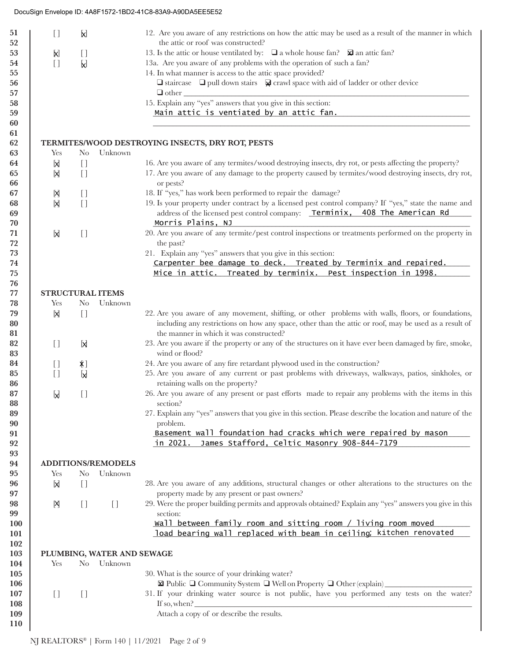|                   |                                   |                                        |                                        | DocuSign Envelope ID: 4A8F1572-1BD2-41C8-83A9-A90DA5EE5E52                                                                                                                                                                       |
|-------------------|-----------------------------------|----------------------------------------|----------------------------------------|----------------------------------------------------------------------------------------------------------------------------------------------------------------------------------------------------------------------------------|
| 51<br>52          | IJ                                | <b>N</b>                               |                                        | 12. Are you aware of any restrictions on how the attic may be used as a result of the manner in which<br>the attic or roof was constructed?                                                                                      |
| 53                | X)                                | $[$                                    |                                        | 13. Is the attic or house ventilated by: $\Box$ a whole house fan? $\Box$ an attic fan?                                                                                                                                          |
| 54                | $\begin{bmatrix} 1 \end{bmatrix}$ | <b>N</b>                               |                                        | 13a. Are you aware of any problems with the operation of such a fan?                                                                                                                                                             |
| 55                |                                   |                                        |                                        | 14. In what manner is access to the attic space provided?                                                                                                                                                                        |
| 56                |                                   |                                        |                                        | $\Box$ staircase $\Box$ pull down stairs $\Box$ crawl space with aid of ladder or other device                                                                                                                                   |
| 57                |                                   |                                        |                                        |                                                                                                                                                                                                                                  |
| 58                |                                   |                                        |                                        | 15. Explain any "yes" answers that you give in this section:                                                                                                                                                                     |
| 59                |                                   |                                        |                                        | Main attic is ventiated by an attic fan.                                                                                                                                                                                         |
| 60<br>61          |                                   |                                        |                                        |                                                                                                                                                                                                                                  |
| 62                |                                   |                                        |                                        | TERMITES/WOOD DESTROYING INSECTS, DRY ROT, PESTS                                                                                                                                                                                 |
| 63                | Yes                               | N <sub>0</sub>                         | Unknown                                |                                                                                                                                                                                                                                  |
| 64                | Ŋ                                 | $\begin{bmatrix} 1 \end{bmatrix}$      |                                        | 16. Are you aware of any termites/wood destroying insects, dry rot, or pests affecting the property?                                                                                                                             |
| 65<br>66          | X                                 | $\begin{bmatrix} 1 \end{bmatrix}$      |                                        | 17. Are you aware of any damage to the property caused by termites/wood destroying insects, dry rot,<br>or pests?                                                                                                                |
| 67                | Ŋ                                 | $\begin{array}{c} \square \end{array}$ |                                        | 18. If "yes," has work been performed to repair the damage?                                                                                                                                                                      |
| 68                | X                                 | $[$                                    |                                        | 19. Is your property under contract by a licensed pest control company? If "yes," state the name and                                                                                                                             |
| 69<br>70          |                                   |                                        |                                        | address of the licensed pest control company: Terminix, 408 The American Rd<br><u>Morris Plains, NJ</u>                                                                                                                          |
| 71                | X                                 | $\begin{array}{c} \square \end{array}$ |                                        | 20. Are you aware of any termite/pest control inspections or treatments performed on the property in                                                                                                                             |
| 72                |                                   |                                        |                                        | the past?                                                                                                                                                                                                                        |
| 73                |                                   |                                        |                                        | 21. Explain any "yes" answers that you give in this section:                                                                                                                                                                     |
| 74                |                                   |                                        |                                        | Carpenter bee damage to deck. Treated by Terminix and repaired.                                                                                                                                                                  |
| 75                |                                   |                                        |                                        | Mice in attic. Treated by terminix. Pest inspection in 1998.                                                                                                                                                                     |
| 76                |                                   |                                        | STRUCTURAL ITEMS                       |                                                                                                                                                                                                                                  |
| 77<br>78          | Yes                               | N <sub>0</sub>                         | Unknown                                |                                                                                                                                                                                                                                  |
| 79                | X                                 | $\begin{bmatrix} 1 \end{bmatrix}$      |                                        | 22. Are you aware of any movement, shifting, or other problems with walls, floors, or foundations,                                                                                                                               |
| 80                |                                   |                                        |                                        | including any restrictions on how any space, other than the attic or roof, may be used as a result of                                                                                                                            |
| 81                |                                   |                                        |                                        | the manner in which it was constructed?                                                                                                                                                                                          |
| 82                | $[ \ ]$                           | X                                      |                                        | 23. Are you aware if the property or any of the structures on it have ever been damaged by fire, smoke,                                                                                                                          |
| 83                |                                   |                                        |                                        | wind or flood?                                                                                                                                                                                                                   |
| 84                |                                   | $\mathbf{x}$ ]                         |                                        | 24. Are you aware of any fire retardant plywood used in the construction?                                                                                                                                                        |
| 85                |                                   | $\mathsf{A}$                           |                                        | 25. Are you aware of any current or past problems with driveways, walkways, patios, sinkholes, or                                                                                                                                |
| 86                |                                   |                                        |                                        | retaining walls on the property?                                                                                                                                                                                                 |
| 87<br>88          | <b>N</b>                          | $\begin{array}{c} \square \end{array}$ |                                        | 26. Are you aware of any present or past efforts made to repair any problems with the items in this<br>section?                                                                                                                  |
| 89<br>90          |                                   |                                        |                                        | 27. Explain any "yes" answers that you give in this section. Please describe the location and nature of the<br>problem.                                                                                                          |
| 91                |                                   |                                        |                                        | Basement wall foundation had cracks which were repaired by mason                                                                                                                                                                 |
| 92                |                                   |                                        |                                        | James Stafford, Celtic Masonry 908-844-7179<br>in 2021.                                                                                                                                                                          |
| 93                |                                   |                                        |                                        |                                                                                                                                                                                                                                  |
| 94<br>95          | Yes                               | N <sub>0</sub>                         | <b>ADDITIONS/REMODELS</b><br>Unknown   |                                                                                                                                                                                                                                  |
| 96                | X                                 | $\begin{array}{c} \square \end{array}$ |                                        | 28. Are you aware of any additions, structural changes or other alterations to the structures on the                                                                                                                             |
| 97                |                                   |                                        |                                        | property made by any present or past owners?                                                                                                                                                                                     |
| 98                | X                                 | $\begin{bmatrix} 1 \end{bmatrix}$      | $\begin{array}{c} \square \end{array}$ | 29. Were the proper building permits and approvals obtained? Explain any "yes" answers you give in this                                                                                                                          |
| 99                |                                   |                                        |                                        | section:                                                                                                                                                                                                                         |
| <b>100</b>        |                                   |                                        |                                        | wall between family room and sitting room / living room moved                                                                                                                                                                    |
| 101               |                                   |                                        |                                        | load bearing wall replaced with beam in ceiling; kitchen renovated                                                                                                                                                               |
| 102               |                                   |                                        |                                        |                                                                                                                                                                                                                                  |
| 103               |                                   |                                        | PLUMBING, WATER AND SEWAGE             |                                                                                                                                                                                                                                  |
| 104               | Yes                               | $\rm No$                               | Unknown                                |                                                                                                                                                                                                                                  |
| 105<br><b>106</b> |                                   |                                        |                                        | 30. What is the source of your drinking water?<br>$\boxtimes$ Public $\Box$ Community System $\Box$ Well on Property $\Box$ Other (explain)                                                                                      |
| 107               | $\begin{bmatrix} 1 \end{bmatrix}$ | $\begin{bmatrix} 1 \end{bmatrix}$      |                                        | 31. If your drinking water source is not public, have you performed any tests on the water?                                                                                                                                      |
| 108               |                                   |                                        |                                        | If so, when? $\frac{1}{2}$ is the set of the set of the set of the set of the set of the set of the set of the set of the set of the set of the set of the set of the set of the set of the set of the set of the set of the set |
| 109               |                                   |                                        |                                        | Attach a copy of or describe the results.                                                                                                                                                                                        |
| <b>110</b>        |                                   |                                        |                                        |                                                                                                                                                                                                                                  |
|                   |                                   |                                        |                                        |                                                                                                                                                                                                                                  |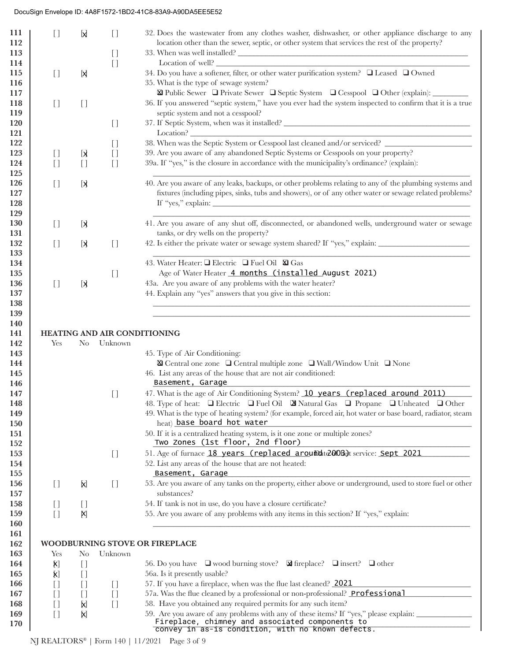| 111<br>112 | $[ \ ]$                                | N                                      | $[ \ ]$                                                                                                                                                                                                                                                                                                                                                                                                                                                                  | 32. Does the wastewater from any clothes washer, dishwasher, or other appliance discharge to any<br>location other than the sewer, septic, or other system that services the rest of the property? |
|------------|----------------------------------------|----------------------------------------|--------------------------------------------------------------------------------------------------------------------------------------------------------------------------------------------------------------------------------------------------------------------------------------------------------------------------------------------------------------------------------------------------------------------------------------------------------------------------|----------------------------------------------------------------------------------------------------------------------------------------------------------------------------------------------------|
| 113        |                                        |                                        | $[ \ ]$                                                                                                                                                                                                                                                                                                                                                                                                                                                                  |                                                                                                                                                                                                    |
| 114        |                                        |                                        | $[ \ ]$                                                                                                                                                                                                                                                                                                                                                                                                                                                                  | Location of well?                                                                                                                                                                                  |
| 115        | $\begin{bmatrix} 1 \end{bmatrix}$      | X                                      |                                                                                                                                                                                                                                                                                                                                                                                                                                                                          | 34. Do you have a softener, filter, or other water purification system? □ Leased □ Owned                                                                                                           |
| 116        |                                        |                                        |                                                                                                                                                                                                                                                                                                                                                                                                                                                                          | 35. What is the type of sewage system?                                                                                                                                                             |
| 117        |                                        |                                        |                                                                                                                                                                                                                                                                                                                                                                                                                                                                          | ⊠ Public Sewer □ Private Sewer □ Septic System □ Cesspool □ Other (explain): _______                                                                                                               |
| 118        | $\begin{bmatrix} 1 \end{bmatrix}$      | $[ \ ]$                                |                                                                                                                                                                                                                                                                                                                                                                                                                                                                          | 36. If you answered "septic system," have you ever had the system inspected to confirm that it is a true                                                                                           |
| 119        |                                        |                                        |                                                                                                                                                                                                                                                                                                                                                                                                                                                                          | septic system and not a cesspool?                                                                                                                                                                  |
| 120        |                                        |                                        | $[ \ ]$                                                                                                                                                                                                                                                                                                                                                                                                                                                                  |                                                                                                                                                                                                    |
| 121        |                                        |                                        |                                                                                                                                                                                                                                                                                                                                                                                                                                                                          |                                                                                                                                                                                                    |
| 122        |                                        |                                        | $[] \centering \includegraphics[width=0.47\textwidth]{images/TransY200211111110.pdf} \includegraphics[width=0.47\textwidth]{images/TransY2002111111111111.pdf} \includegraphics[width=0.47\textwidth]{images/TransY20021111111111111.pdf} \includegraphics[width=0.47\textwidth]{images/TransY200211111111111111.pdf} \includegraphics[width=0.47\textwidth]{images/TransY20021111111111111111.pdf} \includegraphics[width=0.47\textwidth]{images/TransY200211111111111$ | 38. When was the Septic System or Cesspool last cleaned and/or serviced?                                                                                                                           |
| 123        | $\begin{bmatrix} 1 \end{bmatrix}$      | [X                                     | $[ \ ]$                                                                                                                                                                                                                                                                                                                                                                                                                                                                  | 39. Are you aware of any abandoned Septic Systems or Cesspools on your property?                                                                                                                   |
| 124        | $[ \ ]$                                | $[ \ ]$                                | $[ \ ]$                                                                                                                                                                                                                                                                                                                                                                                                                                                                  | 39a. If "yes," is the closure in accordance with the municipality's ordinance? (explain):                                                                                                          |
| 125        |                                        |                                        |                                                                                                                                                                                                                                                                                                                                                                                                                                                                          |                                                                                                                                                                                                    |
| 126        | $[ \ ]$                                | [X                                     |                                                                                                                                                                                                                                                                                                                                                                                                                                                                          | 40. Are you aware of any leaks, backups, or other problems relating to any of the plumbing systems and                                                                                             |
| 127        |                                        |                                        |                                                                                                                                                                                                                                                                                                                                                                                                                                                                          | fixtures (including pipes, sinks, tubs and showers), or of any other water or sewage related problems?                                                                                             |
| 128        |                                        |                                        |                                                                                                                                                                                                                                                                                                                                                                                                                                                                          |                                                                                                                                                                                                    |
| 129        |                                        |                                        |                                                                                                                                                                                                                                                                                                                                                                                                                                                                          |                                                                                                                                                                                                    |
| 130        | $[ \ ]$                                | [X                                     |                                                                                                                                                                                                                                                                                                                                                                                                                                                                          | 41. Are you aware of any shut off, disconnected, or abandoned wells, underground water or sewage                                                                                                   |
| 131        |                                        |                                        |                                                                                                                                                                                                                                                                                                                                                                                                                                                                          | tanks, or dry wells on the property?                                                                                                                                                               |
| 132        | $[$                                    | [X                                     | $[ \ ]$                                                                                                                                                                                                                                                                                                                                                                                                                                                                  | 42. Is either the private water or sewage system shared? If "yes," explain: ________________________                                                                                               |
| 133        |                                        |                                        |                                                                                                                                                                                                                                                                                                                                                                                                                                                                          |                                                                                                                                                                                                    |
| 134        |                                        |                                        |                                                                                                                                                                                                                                                                                                                                                                                                                                                                          | 43. Water Heater: □ Electric □ Fuel Oil ⊠ Gas                                                                                                                                                      |
| 135        |                                        |                                        | $[ \ ]$                                                                                                                                                                                                                                                                                                                                                                                                                                                                  | Age of Water Heater 4 months (installed August 2021)                                                                                                                                               |
| 136        | $[$                                    | [X                                     |                                                                                                                                                                                                                                                                                                                                                                                                                                                                          | 43a. Are you aware of any problems with the water heater?                                                                                                                                          |
| 137        |                                        |                                        |                                                                                                                                                                                                                                                                                                                                                                                                                                                                          | 44. Explain any "yes" answers that you give in this section:                                                                                                                                       |
| 138        |                                        |                                        |                                                                                                                                                                                                                                                                                                                                                                                                                                                                          |                                                                                                                                                                                                    |
| 139        |                                        |                                        |                                                                                                                                                                                                                                                                                                                                                                                                                                                                          |                                                                                                                                                                                                    |
| 140        |                                        |                                        |                                                                                                                                                                                                                                                                                                                                                                                                                                                                          |                                                                                                                                                                                                    |
|            |                                        |                                        |                                                                                                                                                                                                                                                                                                                                                                                                                                                                          |                                                                                                                                                                                                    |
| 141        |                                        |                                        |                                                                                                                                                                                                                                                                                                                                                                                                                                                                          | HEATING AND AIR CONDITIONING                                                                                                                                                                       |
| 142        | Yes                                    | $\rm No$                               | Unknown                                                                                                                                                                                                                                                                                                                                                                                                                                                                  |                                                                                                                                                                                                    |
| 143        |                                        |                                        |                                                                                                                                                                                                                                                                                                                                                                                                                                                                          | 45. Type of Air Conditioning:                                                                                                                                                                      |
| 144        |                                        |                                        |                                                                                                                                                                                                                                                                                                                                                                                                                                                                          | $\boxtimes$ Central one zone $\Box$ Central multiple zone $\Box$ Wall/Window Unit $\Box$ None                                                                                                      |
| 145        |                                        |                                        |                                                                                                                                                                                                                                                                                                                                                                                                                                                                          | 46. List any areas of the house that are not air conditioned:                                                                                                                                      |
| 146        |                                        |                                        |                                                                                                                                                                                                                                                                                                                                                                                                                                                                          | Basement, Garage                                                                                                                                                                                   |
| 147        |                                        |                                        | $[] \centering \includegraphics[width=0.47\textwidth]{images/TransY200211111110.pdf} \includegraphics[width=0.47\textwidth]{images/TransY2002111111111111.pdf} \includegraphics[width=0.47\textwidth]{images/TransY20021111111111111.pdf} \includegraphics[width=0.47\textwidth]{images/TransY200211111111111111.pdf} \includegraphics[width=0.47\textwidth]{images/TransY20021111111111111111.pdf} \includegraphics[width=0.47\textwidth]{images/TransY200211111111111$ | 47. What is the age of Air Conditioning System? 10 years (replaced around 2011)                                                                                                                    |
| 148        |                                        |                                        |                                                                                                                                                                                                                                                                                                                                                                                                                                                                          | 48. Type of heat: $\Box$ Electric $\Box$ Fuel Oil $\Box$ Natural Gas $\Box$ Propane $\Box$ Unheated $\Box$ Other                                                                                   |
| 149        |                                        |                                        |                                                                                                                                                                                                                                                                                                                                                                                                                                                                          | 49. What is the type of heating system? (for example, forced air, hot water or base board, radiator, steam                                                                                         |
| 150        |                                        |                                        |                                                                                                                                                                                                                                                                                                                                                                                                                                                                          | heat) base board hot water                                                                                                                                                                         |
| 151        |                                        |                                        |                                                                                                                                                                                                                                                                                                                                                                                                                                                                          | 50. If it is a centralized heating system, is it one zone or multiple zones?                                                                                                                       |
| 152        |                                        |                                        |                                                                                                                                                                                                                                                                                                                                                                                                                                                                          | Two Zones (1st floor, 2nd floor)                                                                                                                                                                   |
| 153        |                                        |                                        | $[ \ ]$                                                                                                                                                                                                                                                                                                                                                                                                                                                                  | 51. Age of furnace 18 years (replaced around to 200B) t service: Sept 2021                                                                                                                         |
| 154        |                                        |                                        |                                                                                                                                                                                                                                                                                                                                                                                                                                                                          | 52. List any areas of the house that are not heated:                                                                                                                                               |
| 155        |                                        |                                        |                                                                                                                                                                                                                                                                                                                                                                                                                                                                          | Basement, Garage                                                                                                                                                                                   |
| 156        | $\begin{array}{c} \square \end{array}$ | <b>X</b>                               | $\begin{array}{c} \square \end{array}$                                                                                                                                                                                                                                                                                                                                                                                                                                   | 53. Are you aware of any tanks on the property, either above or underground, used to store fuel or other                                                                                           |
| 157        |                                        |                                        |                                                                                                                                                                                                                                                                                                                                                                                                                                                                          | substances?                                                                                                                                                                                        |
| 158        | $[ \ ]$                                | $\begin{array}{c} \square \end{array}$ |                                                                                                                                                                                                                                                                                                                                                                                                                                                                          | 54. If tank is not in use, do you have a closure certificate?                                                                                                                                      |
| 159        | $[ \ ]$                                | X)                                     |                                                                                                                                                                                                                                                                                                                                                                                                                                                                          | 55. Are you aware of any problems with any items in this section? If "yes," explain:                                                                                                               |
| 160        |                                        |                                        |                                                                                                                                                                                                                                                                                                                                                                                                                                                                          |                                                                                                                                                                                                    |
| 161        |                                        |                                        |                                                                                                                                                                                                                                                                                                                                                                                                                                                                          |                                                                                                                                                                                                    |
| 162        |                                        |                                        |                                                                                                                                                                                                                                                                                                                                                                                                                                                                          | WOODBURNING STOVE OR FIREPLACE                                                                                                                                                                     |
| 163        | Yes                                    | $\rm No$                               | Unknown                                                                                                                                                                                                                                                                                                                                                                                                                                                                  |                                                                                                                                                                                                    |
| 164        | Ķ]                                     | $[ \ ]$                                |                                                                                                                                                                                                                                                                                                                                                                                                                                                                          | 56. Do you have $\Box$ wood burning stove? $\Box$ fireplace? $\Box$ insert? $\Box$ other                                                                                                           |
| 165        | K)                                     | $[ \ ]$                                |                                                                                                                                                                                                                                                                                                                                                                                                                                                                          | 56a. Is it presently usable?                                                                                                                                                                       |
| 166        | $[ \ ]$                                | $[ \ ]$                                | $\begin{array}{c} \square \end{array}$                                                                                                                                                                                                                                                                                                                                                                                                                                   | 57. If you have a fireplace, when was the flue last cleaned? 2021                                                                                                                                  |
| 167        | $[ \ ]$                                | $[ \ ]$                                | $[ \ ]$                                                                                                                                                                                                                                                                                                                                                                                                                                                                  | 57a. Was the flue cleaned by a professional or non-professional? Professional                                                                                                                      |
| 168        | $[ \ ]$                                | <b>X</b>                               | $[ \ ]$                                                                                                                                                                                                                                                                                                                                                                                                                                                                  | 58. Have you obtained any required permits for any such item?                                                                                                                                      |
| 169<br>170 | $[$                                    | <b>X</b>                               |                                                                                                                                                                                                                                                                                                                                                                                                                                                                          | 59. Are you aware of any problems with any of these items? If "yes," please explain:<br>Fireplace, chimney and associated components to                                                            |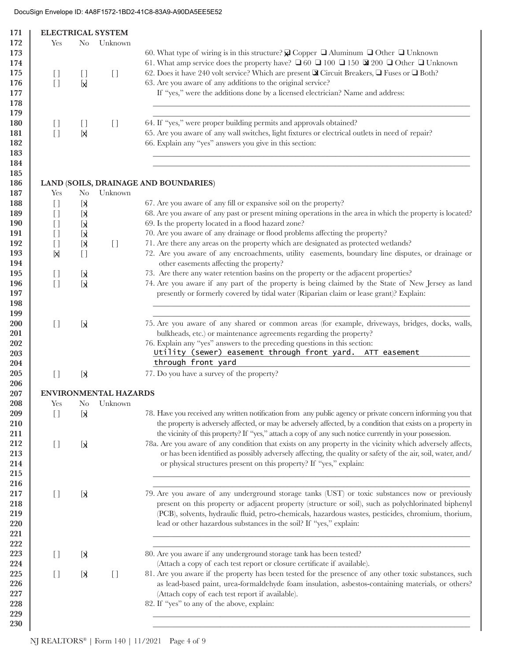| 171        |                                        |                | <b>ELECTRICAL SYSTEM</b>               |                                                                                                                                                                                                                                     |
|------------|----------------------------------------|----------------|----------------------------------------|-------------------------------------------------------------------------------------------------------------------------------------------------------------------------------------------------------------------------------------|
| 172        | Yes                                    | $\rm No$       | Unknown                                |                                                                                                                                                                                                                                     |
| 173<br>174 |                                        |                |                                        | 60. What type of wiring is in this structure? $\mathbb Q$ Copper $\Box$ Aluminum $\Box$ Other $\Box$ Unknown<br>61. What amp service does the property have? $\Box$ 60 $\Box$ 100 $\Box$ 150 $\Box$ 200 $\Box$ Other $\Box$ Unknown |
| 175        | $\begin{bmatrix} 1 \end{bmatrix}$      | IJ             | $\begin{bmatrix} 1 \end{bmatrix}$      | 62. Does it have 240 volt service? Which are present <b>Q</b> Circuit Breakers, <b>Q</b> Fuses or <b>Q</b> Both?                                                                                                                    |
| 176        | $\begin{bmatrix} 1 \end{bmatrix}$      | X              |                                        | 63. Are you aware of any additions to the original service?                                                                                                                                                                         |
| 177        |                                        |                |                                        | If "yes," were the additions done by a licensed electrician? Name and address:                                                                                                                                                      |
| 178        |                                        |                |                                        |                                                                                                                                                                                                                                     |
|            |                                        |                |                                        |                                                                                                                                                                                                                                     |
| 179<br>180 |                                        |                |                                        | 64. If "yes," were proper building permits and approvals obtained?                                                                                                                                                                  |
|            | $\begin{bmatrix} 1 \end{bmatrix}$      | IJ             | $\begin{bmatrix} 1 \end{bmatrix}$      |                                                                                                                                                                                                                                     |
| 181        | $\begin{bmatrix} 1 \end{bmatrix}$      | X              |                                        | 65. Are you aware of any wall switches, light fixtures or electrical outlets in need of repair?                                                                                                                                     |
| 182        |                                        |                |                                        | 66. Explain any "yes" answers you give in this section:                                                                                                                                                                             |
| 183        |                                        |                |                                        |                                                                                                                                                                                                                                     |
| 184        |                                        |                |                                        |                                                                                                                                                                                                                                     |
| 185        |                                        |                |                                        |                                                                                                                                                                                                                                     |
| 186        |                                        |                |                                        | LAND (SOILS, DRAINAGE AND BOUNDARIES)                                                                                                                                                                                               |
| 187        | Yes                                    | N <sub>0</sub> | Unknown                                |                                                                                                                                                                                                                                     |
| 188        | $\begin{bmatrix} 1 \end{bmatrix}$      | [X             |                                        | 67. Are you aware of any fill or expansive soil on the property?                                                                                                                                                                    |
| 189        | $[ \ ]$                                | [X             |                                        | 68. Are you aware of any past or present mining operations in the area in which the property is located?                                                                                                                            |
| <b>190</b> | $[ \ ]$                                | [X             |                                        | 69. Is the property located in a flood hazard zone?                                                                                                                                                                                 |
| 191        | $[ \ ]$                                | [X             |                                        | 70. Are you aware of any drainage or flood problems affecting the property?                                                                                                                                                         |
| 192        | $[ \ ]$                                | [X             | $\begin{array}{c} \square \end{array}$ | 71. Are there any areas on the property which are designated as protected wetlands?                                                                                                                                                 |
| 193        | X                                      | $[ \ ]$        |                                        | 72. Are you aware of any encroachments, utility easements, boundary line disputes, or drainage or                                                                                                                                   |
| 194        |                                        |                |                                        | other easements affecting the property?                                                                                                                                                                                             |
| 195        | $[$                                    | [X             |                                        | 73. Are there any water retention basins on the property or the adjacent properties?                                                                                                                                                |
| 196        | $[ \ ]$                                | $\lambda$      |                                        | 74. Are you aware if any part of the property is being claimed by the State of New Jersey as land                                                                                                                                   |
| 197        |                                        |                |                                        | presently or formerly covered by tidal water (Riparian claim or lease grant)? Explain:                                                                                                                                              |
| 198        |                                        |                |                                        |                                                                                                                                                                                                                                     |
| 199        |                                        |                |                                        |                                                                                                                                                                                                                                     |
| 200        | $\begin{bmatrix} 1 \end{bmatrix}$      | [X             |                                        | 75. Are you aware of any shared or common areas (for example, driveways, bridges, docks, walls,                                                                                                                                     |
| 201        |                                        |                |                                        | bulkheads, etc.) or maintenance agreements regarding the property?                                                                                                                                                                  |
| 202        |                                        |                |                                        | 76. Explain any "yes" answers to the preceding questions in this section:                                                                                                                                                           |
| 203        |                                        |                |                                        | Utility (sewer) easement through front yard. ATT easement                                                                                                                                                                           |
| 204        |                                        |                |                                        | through front yard                                                                                                                                                                                                                  |
| 205        | $\begin{array}{c} \square \end{array}$ | [X             |                                        | 77. Do you have a survey of the property?                                                                                                                                                                                           |
| 206        |                                        |                |                                        |                                                                                                                                                                                                                                     |
| 207        |                                        |                | <b>ENVIRONMENTAL HAZARDS</b>           |                                                                                                                                                                                                                                     |
| 208        | Yes                                    | N <sub>0</sub> | Unknown                                |                                                                                                                                                                                                                                     |
| 209        | $[$                                    | [X             |                                        | 78. Have you received any written notification from any public agency or private concern informing you that                                                                                                                         |
| 210        |                                        |                |                                        | the property is adversely affected, or may be adversely affected, by a condition that exists on a property in                                                                                                                       |
| 211        |                                        |                |                                        | the vicinity of this property? If "yes," attach a copy of any such notice currently in your possession.                                                                                                                             |
| 212        | $\begin{bmatrix} 1 \end{bmatrix}$      | [X             |                                        | 78a. Are you aware of any condition that exists on any property in the vicinity which adversely affects,                                                                                                                            |
| 213        |                                        |                |                                        | or has been identified as possibly adversely affecting, the quality or safety of the air, soil, water, and/                                                                                                                         |
| 214        |                                        |                |                                        | or physical structures present on this property? If "yes," explain:                                                                                                                                                                 |
| 215        |                                        |                |                                        |                                                                                                                                                                                                                                     |
| 216        |                                        |                |                                        |                                                                                                                                                                                                                                     |
| 217        |                                        |                |                                        | 79. Are you aware of any underground storage tanks (UST) or toxic substances now or previously                                                                                                                                      |
|            | $\begin{array}{c} \square \end{array}$ | [X             |                                        |                                                                                                                                                                                                                                     |
| 218        |                                        |                |                                        | present on this property or adjacent property (structure or soil), such as polychlorinated biphenyl                                                                                                                                 |
| 219        |                                        |                |                                        | (PCB), solvents, hydraulic fluid, petro-chemicals, hazardous wastes, pesticides, chromium, thorium,                                                                                                                                 |
| 220        |                                        |                |                                        | lead or other hazardous substances in the soil? If "yes," explain:                                                                                                                                                                  |
| 221        |                                        |                |                                        |                                                                                                                                                                                                                                     |
| 222        |                                        |                |                                        |                                                                                                                                                                                                                                     |
| 223        | $\begin{bmatrix} 1 \end{bmatrix}$      | [X]            |                                        | 80. Are you aware if any underground storage tank has been tested?                                                                                                                                                                  |
| 224        |                                        |                |                                        | (Attach a copy of each test report or closure certificate if available).                                                                                                                                                            |
| 225        | $[$                                    | [X]            | $[ \ ]$                                | 81. Are you aware if the property has been tested for the presence of any other toxic substances, such                                                                                                                              |
| 226        |                                        |                |                                        | as lead-based paint, urea-formaldehyde foam insulation, asbestos-containing materials, or others?                                                                                                                                   |
| 227        |                                        |                |                                        | (Attach copy of each test report if available).                                                                                                                                                                                     |
| 228        |                                        |                |                                        | 82. If "yes" to any of the above, explain:                                                                                                                                                                                          |
| 229        |                                        |                |                                        |                                                                                                                                                                                                                                     |
| 230        |                                        |                |                                        |                                                                                                                                                                                                                                     |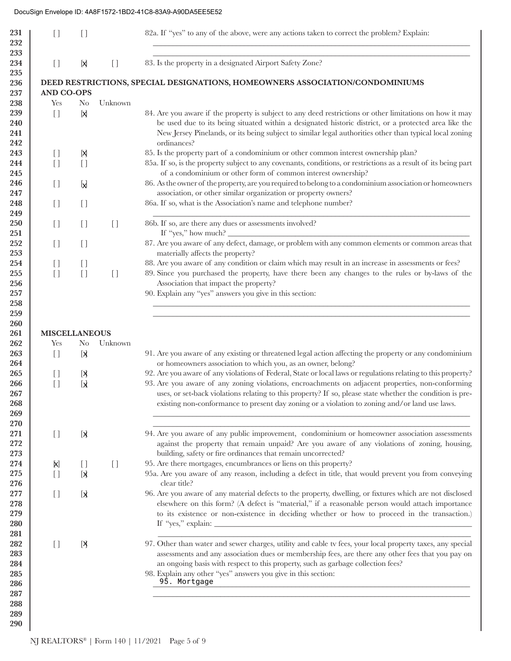| 231<br>232 | IJ                                     | IJ                                     |                                        | 82a. If "yes" to any of the above, were any actions taken to correct the problem? Explain:                                                                                                    |
|------------|----------------------------------------|----------------------------------------|----------------------------------------|-----------------------------------------------------------------------------------------------------------------------------------------------------------------------------------------------|
| 233<br>234 | $\begin{array}{c} \square \end{array}$ | X                                      | $\begin{array}{c} \square \end{array}$ | 83. Is the property in a designated Airport Safety Zone?                                                                                                                                      |
| 235<br>236 |                                        |                                        |                                        | DEED RESTRICTIONS, SPECIAL DESIGNATIONS, HOMEOWNERS ASSOCIATION/CONDOMINIUMS                                                                                                                  |
| 237        | <b>AND CO-OPS</b>                      |                                        |                                        |                                                                                                                                                                                               |
| 238        | Yes                                    | N <sub>0</sub>                         | Unknown                                |                                                                                                                                                                                               |
| 239        | $\begin{array}{c} \square \end{array}$ | X                                      |                                        | 84. Are you aware if the property is subject to any deed restrictions or other limitations on how it may                                                                                      |
| 240        |                                        |                                        |                                        | be used due to its being situated within a designated historic district, or a protected area like the                                                                                         |
| 241        |                                        |                                        |                                        | New Jersey Pinelands, or its being subject to similar legal authorities other than typical local zoning                                                                                       |
| 242        |                                        |                                        |                                        | ordinances?                                                                                                                                                                                   |
| 243        | $\begin{bmatrix} 1 \end{bmatrix}$      | X                                      |                                        | 85. Is the property part of a condominium or other common interest ownership plan?                                                                                                            |
| 244        | $[ \ ]$                                | $[ \ ]$                                |                                        | 85a. If so, is the property subject to any covenants, conditions, or restrictions as a result of its being part                                                                               |
| 245        |                                        |                                        |                                        | of a condominium or other form of common interest ownership?<br>86. As the owner of the property, are you required to belong to a condominium association or homeowners                       |
| 246<br>247 | $\begin{array}{c} \square \end{array}$ | K                                      |                                        | association, or other similar organization or property owners?                                                                                                                                |
| 248        | $[ \ ]$                                | $\left[\!\left[ \right]\!\right]$      |                                        | 86a. If so, what is the Association's name and telephone number?                                                                                                                              |
| 249        |                                        |                                        |                                        |                                                                                                                                                                                               |
| 250        | $[ \ ]$                                | $\begin{array}{c} \square \end{array}$ | $\begin{array}{c} \square \end{array}$ | 86b. If so, are there any dues or assessments involved?                                                                                                                                       |
| 251        |                                        |                                        |                                        | If "yes," how much? $\_$                                                                                                                                                                      |
| 252        | $[ \ ]$                                | $\begin{array}{c} \square \end{array}$ |                                        | 87. Are you aware of any defect, damage, or problem with any common elements or common areas that                                                                                             |
| 253        |                                        |                                        |                                        | materially affects the property?                                                                                                                                                              |
| 254        | $\begin{array}{c} \square \end{array}$ | I)                                     |                                        | 88. Are you aware of any condition or claim which may result in an increase in assessments or fees?                                                                                           |
| 255<br>256 | $[ ]$                                  | $[ \ ]$                                | $\begin{array}{c} \square \end{array}$ | 89. Since you purchased the property, have there been any changes to the rules or by-laws of the<br>Association that impact the property?                                                     |
| 257        |                                        |                                        |                                        | 90. Explain any "yes" answers you give in this section:                                                                                                                                       |
| 258        |                                        |                                        |                                        |                                                                                                                                                                                               |
| 259        |                                        |                                        |                                        |                                                                                                                                                                                               |
| 260        |                                        |                                        |                                        |                                                                                                                                                                                               |
| 261        | <b>MISCELLANEOUS</b>                   |                                        |                                        |                                                                                                                                                                                               |
| 262        | Yes                                    | N <sub>0</sub>                         | Unknown                                |                                                                                                                                                                                               |
| 263<br>264 | $\begin{array}{c} \square \end{array}$ | [X                                     |                                        | 91. Are you aware of any existing or threatened legal action affecting the property or any condominium<br>or homeowners association to which you, as an owner, belong?                        |
| 265        | $\begin{bmatrix} 1 \end{bmatrix}$      | [X                                     |                                        | 92. Are you aware of any violations of Federal, State or local laws or regulations relating to this property?                                                                                 |
| 266        | $[ \ ]$                                | $\lambda$                              |                                        | 93. Are you aware of any zoning violations, encroachments on adjacent properties, non-conforming                                                                                              |
| 267        |                                        |                                        |                                        | uses, or set-back violations relating to this property? If so, please state whether the condition is pre-                                                                                     |
| 268        |                                        |                                        |                                        | existing non-conformance to present day zoning or a violation to zoning and/or land use laws.                                                                                                 |
| 269        |                                        |                                        |                                        |                                                                                                                                                                                               |
| 270        |                                        |                                        |                                        |                                                                                                                                                                                               |
| 271<br>272 | $\begin{array}{c} \square \end{array}$ | [X                                     |                                        | 94. Are you aware of any public improvement, condominium or homeowner association assessments<br>against the property that remain unpaid? Are you aware of any violations of zoning, housing, |
| 273        |                                        |                                        |                                        | building, safety or fire ordinances that remain uncorrected?                                                                                                                                  |
| 274        | <b>X</b>                               | $[ \ ]$                                | $\begin{array}{c} \square \end{array}$ | 95. Are there mortgages, encumbrances or liens on this property?                                                                                                                              |
| 275        | $[ \ ]$                                | [X                                     |                                        | 95a. Are you aware of any reason, including a defect in title, that would prevent you from conveying                                                                                          |
| 276        |                                        |                                        |                                        | clear title?                                                                                                                                                                                  |
| 277        | $\begin{bmatrix} 1 \end{bmatrix}$      | [X                                     |                                        | 96. Are you aware of any material defects to the property, dwelling, or fixtures which are not disclosed                                                                                      |
| 278        |                                        |                                        |                                        | elsewhere on this form? (A defect is "material," if a reasonable person would attach importance                                                                                               |
| 279        |                                        |                                        |                                        | to its existence or non-existence in deciding whether or how to proceed in the transaction.)                                                                                                  |
| 280<br>281 |                                        |                                        |                                        |                                                                                                                                                                                               |
| 282        | $\begin{array}{c} \square \end{array}$ | [X]                                    |                                        | 97. Other than water and sewer charges, utility and cable tv fees, your local property taxes, any special                                                                                     |
| 283        |                                        |                                        |                                        | assessments and any association dues or membership fees, are there any other fees that you pay on                                                                                             |
| 284        |                                        |                                        |                                        | an ongoing basis with respect to this property, such as garbage collection fees?                                                                                                              |
| 285        |                                        |                                        |                                        | 98. Explain any other "yes" answers you give in this section:                                                                                                                                 |
| 286        |                                        |                                        |                                        | 95. Mortgage                                                                                                                                                                                  |
| 287        |                                        |                                        |                                        |                                                                                                                                                                                               |
| 288        |                                        |                                        |                                        |                                                                                                                                                                                               |
| 289<br>290 |                                        |                                        |                                        |                                                                                                                                                                                               |
|            |                                        |                                        |                                        |                                                                                                                                                                                               |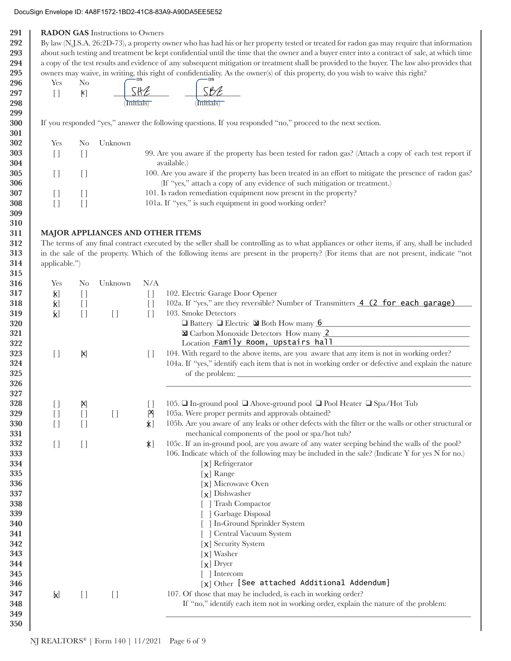| 291 |                                              |                                               | <b>RADON GAS</b> Instructions to Owners |                                                                                                         |                                                                                                                                                                  |  |  |  |  |
|-----|----------------------------------------------|-----------------------------------------------|-----------------------------------------|---------------------------------------------------------------------------------------------------------|------------------------------------------------------------------------------------------------------------------------------------------------------------------|--|--|--|--|
| 292 |                                              |                                               |                                         |                                                                                                         | By law (N.J.S.A. 26:2D-73), a property owner who has had his or her property tested or treated for radon gas may require that information                        |  |  |  |  |
| 293 |                                              |                                               |                                         |                                                                                                         | about such testing and treatment be kept confidential until the time that the owner and a buyer enter into a contract of sale, at which time                     |  |  |  |  |
| 294 |                                              |                                               |                                         |                                                                                                         | a copy of the test results and evidence of any subsequent mitigation or treatment shall be provided to the buyer. The law also provides that                     |  |  |  |  |
| 295 |                                              |                                               |                                         |                                                                                                         | owners may waive, in writing, this right of confidentiality. As the owner(s) of this property, do you wish to waive this right?                                  |  |  |  |  |
| 296 | Yes                                          | N <sub>o</sub>                                |                                         |                                                                                                         |                                                                                                                                                                  |  |  |  |  |
| 297 | $[ \ ]$                                      | $\mathsf{X}$                                  |                                         | SHZ                                                                                                     | $\frac{\mathcal{SBL}}{\text{Initials}}$                                                                                                                          |  |  |  |  |
| 298 |                                              |                                               |                                         |                                                                                                         |                                                                                                                                                                  |  |  |  |  |
| 299 |                                              |                                               |                                         |                                                                                                         |                                                                                                                                                                  |  |  |  |  |
| 300 |                                              |                                               |                                         |                                                                                                         | If you responded "yes," answer the following questions. If you responded "no," proceed to the next section.                                                      |  |  |  |  |
| 301 |                                              |                                               |                                         |                                                                                                         |                                                                                                                                                                  |  |  |  |  |
| 302 | Yes                                          | N <sub>0</sub>                                | Unknown                                 |                                                                                                         |                                                                                                                                                                  |  |  |  |  |
| 303 | $[ \ ]$                                      | $[ \ ]$                                       |                                         |                                                                                                         | 99. Are you aware if the property has been tested for radon gas? (Attach a copy of each test report if                                                           |  |  |  |  |
| 304 |                                              |                                               |                                         |                                                                                                         | available.)                                                                                                                                                      |  |  |  |  |
| 305 | $[ \ ]$                                      | $[$                                           |                                         | 100. Are you aware if the property has been treated in an effort to mitigate the presence of radon gas? |                                                                                                                                                                  |  |  |  |  |
| 306 |                                              |                                               |                                         |                                                                                                         | (If "yes," attach a copy of any evidence of such mitigation or treatment.)                                                                                       |  |  |  |  |
| 307 | $[ \ ]$                                      | $[$                                           |                                         |                                                                                                         | 101. Is radon remediation equipment now present in the property?                                                                                                 |  |  |  |  |
| 308 | $[ \ ]$                                      | $[ \ ]$                                       |                                         |                                                                                                         | 101a. If "yes," is such equipment in good working order?                                                                                                         |  |  |  |  |
| 309 |                                              |                                               |                                         |                                                                                                         |                                                                                                                                                                  |  |  |  |  |
| 310 |                                              |                                               |                                         |                                                                                                         |                                                                                                                                                                  |  |  |  |  |
| 311 |                                              |                                               | MAJOR APPLIANCES AND OTHER ITEMS        |                                                                                                         |                                                                                                                                                                  |  |  |  |  |
| 312 |                                              |                                               |                                         |                                                                                                         | The terms of any final contract executed by the seller shall be controlling as to what appliances or other items, if any, shall be included                      |  |  |  |  |
| 313 |                                              |                                               |                                         |                                                                                                         | in the sale of the property. Which of the following items are present in the property? (For items that are not present, indicate "not                            |  |  |  |  |
| 314 | applicable.")                                |                                               |                                         |                                                                                                         |                                                                                                                                                                  |  |  |  |  |
| 315 |                                              |                                               |                                         |                                                                                                         |                                                                                                                                                                  |  |  |  |  |
| 316 | Yes                                          | N <sub>0</sub>                                | Unknown                                 | N/A                                                                                                     |                                                                                                                                                                  |  |  |  |  |
| 317 | $\mathsf{K}]$                                | $[ \ ]$                                       |                                         | $\begin{bmatrix} 1 \end{bmatrix}$                                                                       | 102. Electric Garage Door Opener                                                                                                                                 |  |  |  |  |
| 318 | $\mathsf{K}]$                                | $[ \ ]$                                       |                                         | $\begin{bmatrix} 1 \end{bmatrix}$                                                                       | 102a. If "yes," are they reversible? Number of Transmitters 4 (2 for each garage)                                                                                |  |  |  |  |
| 319 | $\mathbf{k}$                                 | $[ ]$                                         | $[$                                     | $\lceil$                                                                                                | 103. Smoke Detectors                                                                                                                                             |  |  |  |  |
| 320 |                                              |                                               |                                         |                                                                                                         | □ Battery □ Electric ■ Both How many $6$<br><u> 1980 - Johann Barn, mars ann an t-Amhain Aonaich an t-Aonaich an t-Aonaich ann an t-Aonaich ann an t-Aonaich</u> |  |  |  |  |
| 321 |                                              |                                               |                                         |                                                                                                         | <b>Example 3</b> Carbon Monoxide Detectors How many 2                                                                                                            |  |  |  |  |
| 322 |                                              |                                               |                                         |                                                                                                         | Location Family Room, Upstairs hall                                                                                                                              |  |  |  |  |
| 323 | $[ \ ]$                                      | X)                                            |                                         | $[ \ ]$                                                                                                 | 104. With regard to the above items, are you aware that any item is not in working order?                                                                        |  |  |  |  |
| 324 |                                              |                                               |                                         |                                                                                                         | 104a. If "yes," identify each item that is not in working order or defective and explain the nature                                                              |  |  |  |  |
| 325 |                                              |                                               |                                         |                                                                                                         |                                                                                                                                                                  |  |  |  |  |
| 326 |                                              |                                               |                                         |                                                                                                         |                                                                                                                                                                  |  |  |  |  |
| 327 |                                              |                                               |                                         |                                                                                                         |                                                                                                                                                                  |  |  |  |  |
| 328 |                                              |                                               |                                         | $[ \ ]$                                                                                                 | 105. ■ In-ground pool ■ Above-ground pool ■ Pool Heater ■ Spa/Hot Tub                                                                                            |  |  |  |  |
| 329 | $\begin{bmatrix} 1 \end{bmatrix}$<br>$[ \ ]$ | X<br>$[ \ ]$                                  |                                         | M                                                                                                       | 105a. Were proper permits and approvals obtained?                                                                                                                |  |  |  |  |
| 330 | []                                           | $[ \ ]$                                       | $\Box$                                  | $\mathbf{x}$ ]                                                                                          | 105b. Are you aware of any leaks or other defects with the filter or the walls or other structural or                                                            |  |  |  |  |
| 331 |                                              |                                               |                                         |                                                                                                         | mechanical components of the pool or spa/hot tub?                                                                                                                |  |  |  |  |
| 332 | $\begin{bmatrix} 1 \end{bmatrix}$            | $\left[\begin{array}{c} 1 \end{array}\right]$ |                                         | $\mathbf{x}$ ]                                                                                          | 105c. If an in-ground pool, are you aware of any water seeping behind the walls of the pool?                                                                     |  |  |  |  |
| 333 |                                              |                                               |                                         |                                                                                                         | 106. Indicate which of the following may be included in the sale? (Indicate Y for yes N for no.)                                                                 |  |  |  |  |
| 334 |                                              |                                               |                                         |                                                                                                         | $\lceil x \rceil$ Refrigerator                                                                                                                                   |  |  |  |  |
| 335 |                                              |                                               |                                         |                                                                                                         | $[\chi]$ Range                                                                                                                                                   |  |  |  |  |
| 336 |                                              |                                               |                                         |                                                                                                         | [X] Microwave Oven                                                                                                                                               |  |  |  |  |
| 337 |                                              |                                               |                                         |                                                                                                         | $\left[\chi\right]$ Dishwasher                                                                                                                                   |  |  |  |  |
| 338 |                                              |                                               |                                         |                                                                                                         | [ ] Trash Compactor                                                                                                                                              |  |  |  |  |
| 339 |                                              |                                               |                                         |                                                                                                         | [ ] Garbage Disposal                                                                                                                                             |  |  |  |  |
| 340 |                                              |                                               |                                         |                                                                                                         | [] In-Ground Sprinkler System                                                                                                                                    |  |  |  |  |
| 341 |                                              |                                               |                                         |                                                                                                         | [ ] Central Vacuum System                                                                                                                                        |  |  |  |  |
| 342 |                                              |                                               |                                         |                                                                                                         | [X] Security System                                                                                                                                              |  |  |  |  |
| 343 |                                              |                                               |                                         |                                                                                                         | $\left[\mathsf{x}\right]$ Washer                                                                                                                                 |  |  |  |  |
| 344 |                                              |                                               |                                         |                                                                                                         | $[\chi]$ Dryer                                                                                                                                                   |  |  |  |  |
| 345 |                                              |                                               |                                         |                                                                                                         | $\lceil \ \rceil$ Intercom                                                                                                                                       |  |  |  |  |
| 346 |                                              |                                               |                                         |                                                                                                         | $[\chi]$ Other [See attached Additional Addendum]                                                                                                                |  |  |  |  |
| 347 |                                              |                                               |                                         |                                                                                                         | 107. Of those that may be included, is each in working order?                                                                                                    |  |  |  |  |
| 348 | <b>K</b>                                     | $[ \ ]$                                       | $\begin{array}{c} \square \end{array}$  |                                                                                                         | If "no," identify each item not in working order, explain the nature of the problem:                                                                             |  |  |  |  |
| 349 |                                              |                                               |                                         |                                                                                                         |                                                                                                                                                                  |  |  |  |  |
|     |                                              |                                               |                                         |                                                                                                         |                                                                                                                                                                  |  |  |  |  |
| 350 |                                              |                                               |                                         |                                                                                                         |                                                                                                                                                                  |  |  |  |  |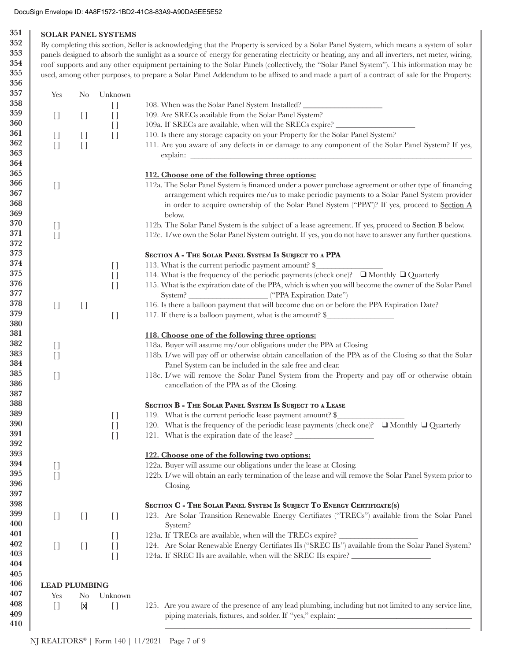#### 351 **SOLAR PANEL SYSTEMS** 352

353

354

355

By completing this section, Seller is acknowledging that the Property is serviced by a Solar Panel System, which means a system of solar panels designed to absorb the sunlight as a source of energy for generating electricity or heating, any and all inverters, net meter, wiring, roof supports and any other equipment pertaining to the Solar Panels (collectively, the "Solar Panel System"). This information may be used, among other purposes, to prepare a Solar Panel Addendum to be affixed to and made a part of a contract of sale for the Property.

| Yes                                                                         | N <sub>0</sub>                    | Unknown                                |                                                                                                                                                                                                                                                                                                                |
|-----------------------------------------------------------------------------|-----------------------------------|----------------------------------------|----------------------------------------------------------------------------------------------------------------------------------------------------------------------------------------------------------------------------------------------------------------------------------------------------------------|
|                                                                             |                                   | $[ \ ]$                                | 108. When was the Solar Panel System Installed? _________________________________                                                                                                                                                                                                                              |
| $[ \ ]$                                                                     | $[ \ ]$                           | $[ \ ]$                                | 109. Are SRECs available from the Solar Panel System?                                                                                                                                                                                                                                                          |
|                                                                             |                                   | $[ \ ]$                                | 109a. If SRECs are available, when will the SRECs expire? _______________________                                                                                                                                                                                                                              |
| $\begin{array}{c} \square \end{array}$                                      | $\begin{bmatrix} 1 \end{bmatrix}$ | $\begin{bmatrix} 1 \end{bmatrix}$      | 110. Is there any storage capacity on your Property for the Solar Panel System?                                                                                                                                                                                                                                |
| $[ \ ]$                                                                     | $\begin{bmatrix} 1 \end{bmatrix}$ |                                        | 111. Are you aware of any defects in or damage to any component of the Solar Panel System? If yes,                                                                                                                                                                                                             |
|                                                                             |                                   |                                        | 112. Choose one of the following three options:                                                                                                                                                                                                                                                                |
| $[ \ ]$                                                                     |                                   |                                        | 112a. The Solar Panel System is financed under a power purchase agreement or other type of financing<br>arrangement which requires me/us to make periodic payments to a Solar Panel System provider<br>in order to acquire ownership of the Solar Panel System ("PPA")? If yes, proceed to Section A<br>below. |
| $\begin{bmatrix} 1 \end{bmatrix}$<br>$\begin{array}{c} \square \end{array}$ |                                   |                                        | 112b. The Solar Panel System is the subject of a lease agreement. If yes, proceed to <b>Section B</b> below.<br>112c. I/we own the Solar Panel System outright. If yes, you do not have to answer any further questions.                                                                                       |
|                                                                             |                                   |                                        | SECTION A - THE SOLAR PANEL SYSTEM IS SUBJECT TO A PPA                                                                                                                                                                                                                                                         |
|                                                                             |                                   | $\begin{array}{c} \square \end{array}$ | 113. What is the current periodic payment amount? \$                                                                                                                                                                                                                                                           |
|                                                                             |                                   | $[ \ ]$                                | 114. What is the frequency of the periodic payments (check one)? $\Box$ Monthly $\Box$ Quarterly                                                                                                                                                                                                               |
|                                                                             |                                   | $[ \ ]$                                | 115. What is the expiration date of the PPA, which is when you will become the owner of the Solar Panel                                                                                                                                                                                                        |
| $\begin{bmatrix} 1 \end{bmatrix}$                                           | $[ \ ]$                           |                                        | 116. Is there a balloon payment that will become due on or before the PPA Expiration Date?                                                                                                                                                                                                                     |
|                                                                             |                                   | $[ \ ]$                                | 117. If there is a balloon payment, what is the amount? \$                                                                                                                                                                                                                                                     |
|                                                                             |                                   |                                        | 118. Choose one of the following three options:                                                                                                                                                                                                                                                                |
| $\begin{bmatrix} 1 \end{bmatrix}$                                           |                                   |                                        | 118a. Buyer will assume my/our obligations under the PPA at Closing.                                                                                                                                                                                                                                           |
| $[ ]$                                                                       |                                   |                                        | 118b. I/we will pay off or otherwise obtain cancellation of the PPA as of the Closing so that the Solar                                                                                                                                                                                                        |
|                                                                             |                                   |                                        | Panel System can be included in the sale free and clear.                                                                                                                                                                                                                                                       |
| $[ \ ]$                                                                     |                                   |                                        | 118c. I/we will remove the Solar Panel System from the Property and pay off or otherwise obtain<br>cancellation of the PPA as of the Closing.                                                                                                                                                                  |
|                                                                             |                                   |                                        | SECTION B - THE SOLAR PANEL SYSTEM IS SUBJECT TO A LEASE                                                                                                                                                                                                                                                       |
|                                                                             |                                   | $\begin{array}{c} \square \end{array}$ | 119. What is the current periodic lease payment amount? \$                                                                                                                                                                                                                                                     |
|                                                                             |                                   | $\begin{array}{c} \square \end{array}$ | 120. What is the frequency of the periodic lease payments (check one)? $\Box$ Monthly $\Box$ Quarterly                                                                                                                                                                                                         |
|                                                                             |                                   | $[$                                    | 121. What is the expiration date of the lease? _________________________________                                                                                                                                                                                                                               |
|                                                                             |                                   |                                        | 122. Choose one of the following two options:                                                                                                                                                                                                                                                                  |
| $\begin{bmatrix} 1 \end{bmatrix}$                                           |                                   |                                        | 122a. Buyer will assume our obligations under the lease at Closing.                                                                                                                                                                                                                                            |
| $[ \ ]$                                                                     |                                   |                                        | 122b. I/we will obtain an early termination of the lease and will remove the Solar Panel System prior to<br>Closing.                                                                                                                                                                                           |
|                                                                             |                                   |                                        | SECTION C - THE SOLAR PANEL SYSTEM IS SUBJECT TO ENERGY CERTIFICATE(S)                                                                                                                                                                                                                                         |
| $\begin{bmatrix} 1 \end{bmatrix}$                                           | $\begin{bmatrix} \end{bmatrix}$   | $\begin{array}{c} \square \end{array}$ | 123. Are Solar Transition Renewable Energy Certifiates ("TRECs") available from the Solar Panel<br>System?                                                                                                                                                                                                     |
|                                                                             |                                   | $\begin{array}{c} \square \end{array}$ | 123a. If TRECs are available, when will the TRECs expire? _______________________                                                                                                                                                                                                                              |
| $\begin{bmatrix} 1 \end{bmatrix}$                                           | $[ \ ]$                           | $[ \ ]$                                | 124. Are Solar Renewable Energy Certifiates IIs ("SREC IIs") available from the Solar Panel System?                                                                                                                                                                                                            |
|                                                                             |                                   | $[$                                    | 124a. If SREC IIs are available, when will the SREC IIs expire? _________________                                                                                                                                                                                                                              |
| <b>LEAD PLUMBING</b>                                                        |                                   |                                        |                                                                                                                                                                                                                                                                                                                |
| Yes                                                                         | N <sub>0</sub>                    | Unknown                                |                                                                                                                                                                                                                                                                                                                |
| $\begin{array}{c} \square \end{array}$                                      | X                                 | $\begin{array}{c} \square \end{array}$ | 125. Are you aware of the presence of any lead plumbing, including but not limited to any service line,                                                                                                                                                                                                        |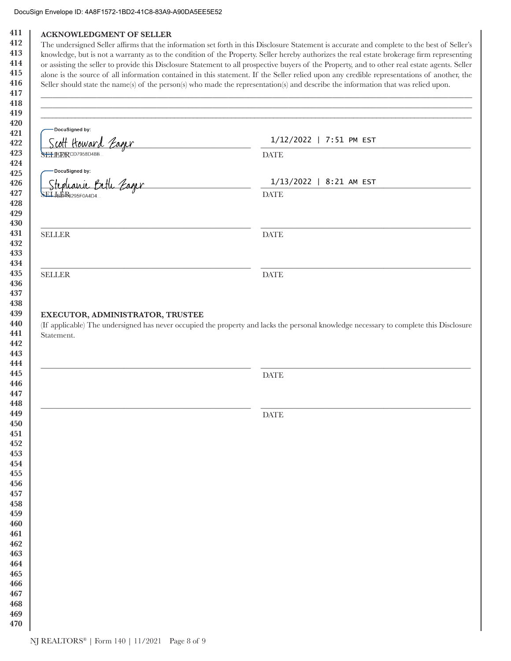#### 411 **ACKNOWLEDGMENT OF SELLER**

412 The undersigned Seller affirms that the information set forth in this Disclosure Statement is accurate and complete to the best of Seller's 413 knowledge, but is not a warranty as to the condition of the Property. Seller hereby authorizes the real estate brokerage firm representing 414 or assisting the seller to provide this Disclosure Statement to all prospective buyers of the Property, and to other real estate agents. Seller 415 alone is the source of all information contained in this statement. If the Seller relied upon any credible representations of another, the 416 Seller should state the name(s) of the person(s) who made the representation(s) and describe the information that was relied upon.

| -DocuSigned by:                                |                                                                                                                                        |
|------------------------------------------------|----------------------------------------------------------------------------------------------------------------------------------------|
| Scott Howard Eager                             | 1/12/2022   7:51 PM EST<br><u> 1990 - Jan Barbara Barat, prima popula</u>                                                              |
| SELPOZH CD7958D48B                             | <b>DATE</b>                                                                                                                            |
| DocuSigned by:                                 |                                                                                                                                        |
| Stephanic Beth Eager                           | 1/13/2022   8:21 AM EST                                                                                                                |
| SEL JBERG295F0A4D4                             | <b>DATE</b>                                                                                                                            |
|                                                |                                                                                                                                        |
| <b>SELLER</b>                                  | $\ensuremath{\mathsf{DATE}}$                                                                                                           |
| <b>SELLER</b>                                  | $\ensuremath{\mathsf{DATE}}$                                                                                                           |
|                                                |                                                                                                                                        |
|                                                |                                                                                                                                        |
|                                                | <b>DATE</b>                                                                                                                            |
|                                                | (If applicable) The undersigned has never occupied the property and lacks the personal knowledge necessary to complete this Disclosure |
|                                                | <b>DATE</b>                                                                                                                            |
|                                                |                                                                                                                                        |
|                                                |                                                                                                                                        |
|                                                |                                                                                                                                        |
|                                                |                                                                                                                                        |
|                                                |                                                                                                                                        |
|                                                |                                                                                                                                        |
| EXECUTOR, ADMINISTRATOR, TRUSTEE<br>Statement. |                                                                                                                                        |
|                                                |                                                                                                                                        |
|                                                |                                                                                                                                        |
|                                                |                                                                                                                                        |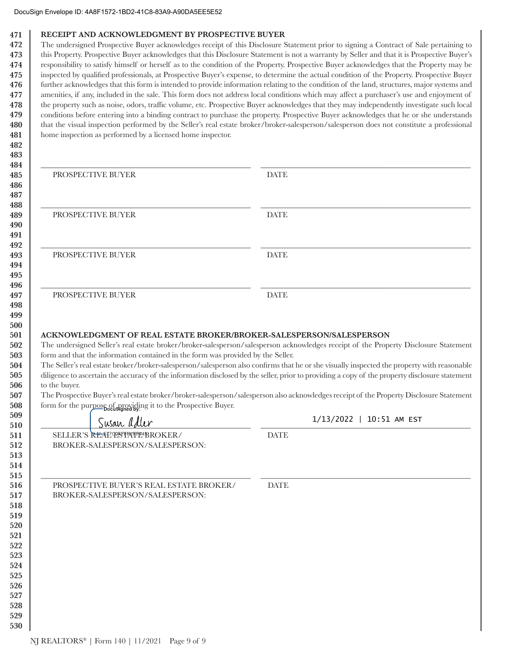#### RECEIPT AND ACKNOWLEDGMENT BY PROSPECTIVE BUYER 471

The undersigned Prospective Buyer acknowledges receipt of this Disclosure Statement prior to signing a Contract of Sale pertaining to 472 this Property. Prospective Buyer acknowledges that this Disclosure Statement is not a warranty by Seller and that it is Prospective Buyer's 473 474 responsibility to satisfy himself or herself as to the condition of the Property. Prospective Buyer acknowledges that the Property may be 475 inspected by qualified professionals, at Prospective Buyer's expense, to determine the actual condition of the Property. Prospective Buyer further acknowledges that this form is intended to provide information relating to the condition of the land, structures, major systems and 476 477 amenities, if any included in the sale. This form does not address local conditions which may affect a purchaser's use and enjoyment of 478 the property such as noise, odors, traffic volume, etc. Prospective Buyer acknowledges that they may independently investigate such local 479 conditions before entering into a binding contract to purchase the property. Prospective Buyer acknowledges that he or she understands 480 that the visual inspection performed by the Seller's real estate broker/broker-salesperson/salesperson does not constitute a professional 481 home inspection as performed by a licensed home inspector.

| PROSPECTIVE BUYER                                                                                                                                      | <b>DATE</b>                                                                                                                                                                                                                                                                                                                                                                                                                           |
|--------------------------------------------------------------------------------------------------------------------------------------------------------|---------------------------------------------------------------------------------------------------------------------------------------------------------------------------------------------------------------------------------------------------------------------------------------------------------------------------------------------------------------------------------------------------------------------------------------|
| PROSPECTIVE BUYER                                                                                                                                      | <b>DATE</b>                                                                                                                                                                                                                                                                                                                                                                                                                           |
| PROSPECTIVE BUYER                                                                                                                                      | <b>DATE</b>                                                                                                                                                                                                                                                                                                                                                                                                                           |
| PROSPECTIVE BUYER                                                                                                                                      | <b>DATE</b>                                                                                                                                                                                                                                                                                                                                                                                                                           |
| ACKNOWLEDGMENT OF REAL ESTATE BROKER/BROKER-SALESPERSON/SALESPERSON<br>form and that the information contained in the form was provided by the Seller. | The undersigned Seller's real estate broker/broker-salesperson/salesperson acknowledges receipt of the Property Disclosure Statement<br>The Seller's real estate broker/broker-salesperson/salesperson also confirms that he or she visually inspected the property with reasonable<br>diligence to ascertain the accuracy of the information disclosed by the seller, prior to providing a copy of the property disclosure statement |
| to the buyer.<br>form for the purpose of providing it to the Prospective Buyer.                                                                        |                                                                                                                                                                                                                                                                                                                                                                                                                                       |
|                                                                                                                                                        | The Prospective Buyer's real estate broker/broker-salesperson/salesperson also acknowledges receipt of the Property Disclosure Statement<br>1/13/2022   10:51 AM EST                                                                                                                                                                                                                                                                  |
| Susan adler<br>SELLER'S REAL PSTRIFF BROKER/<br>BROKER-SALESPERSON/SALESPERSON:                                                                        | <b>DATE</b>                                                                                                                                                                                                                                                                                                                                                                                                                           |
| PROSPECTIVE BUYER'S REAL ESTATE BROKER/<br>BROKER-SALESPERSON/SALESPERSON:                                                                             | <b>DATE</b>                                                                                                                                                                                                                                                                                                                                                                                                                           |
|                                                                                                                                                        |                                                                                                                                                                                                                                                                                                                                                                                                                                       |
|                                                                                                                                                        |                                                                                                                                                                                                                                                                                                                                                                                                                                       |
|                                                                                                                                                        |                                                                                                                                                                                                                                                                                                                                                                                                                                       |
|                                                                                                                                                        |                                                                                                                                                                                                                                                                                                                                                                                                                                       |

528 529 530

527

482